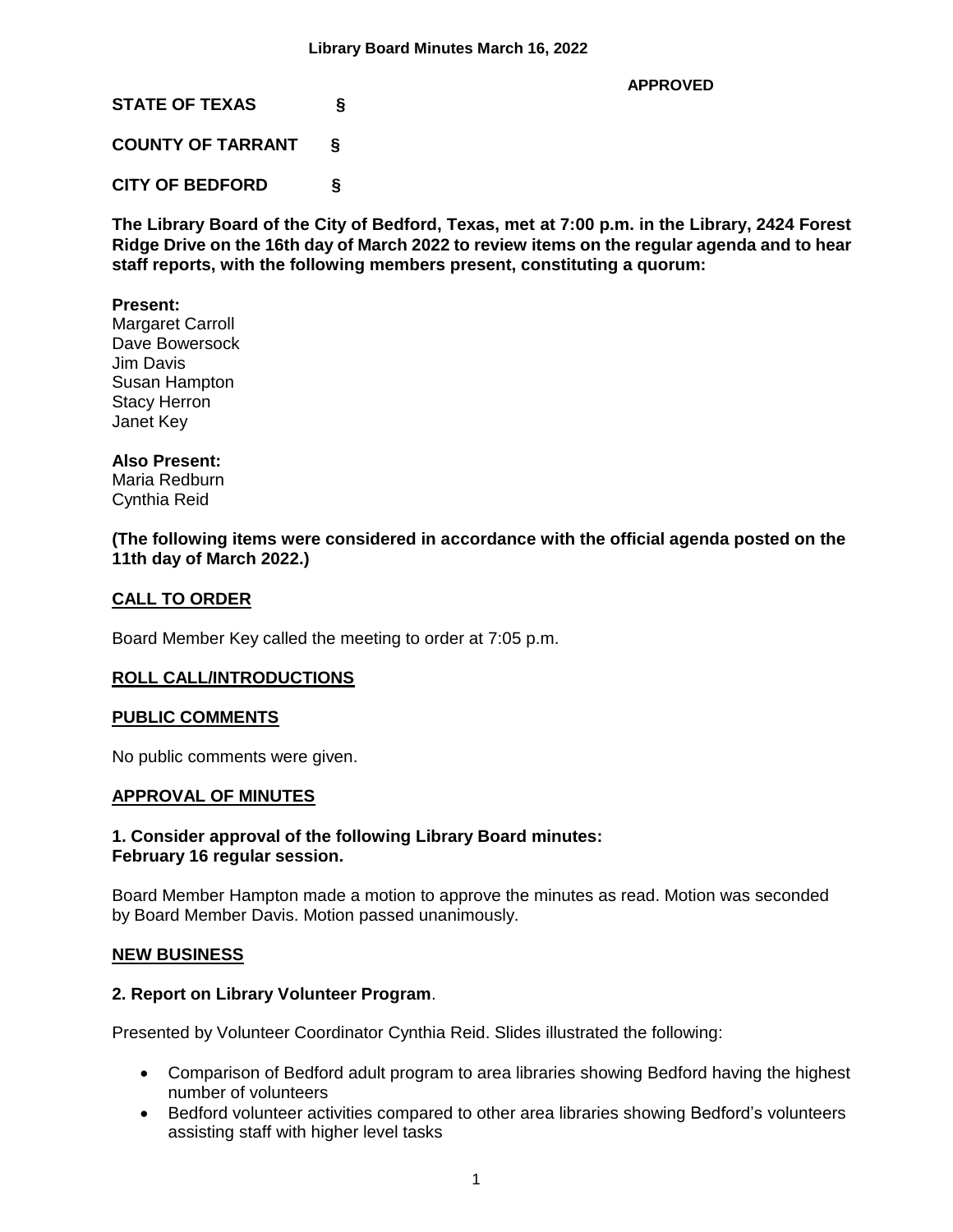**APPROVED**

**STATE OF TEXAS §**

**COUNTY OF TARRANT §**

**CITY OF BEDFORD §**

**The Library Board of the City of Bedford, Texas, met at 7:00 p.m. in the Library, 2424 Forest Ridge Drive on the 16th day of March 2022 to review items on the regular agenda and to hear staff reports, with the following members present, constituting a quorum:**

### **Present:**

Margaret Carroll Dave Bowersock Jim Davis Susan Hampton Stacy Herron Janet Key

### **Also Present:**

Maria Redburn Cynthia Reid

**(The following items were considered in accordance with the official agenda posted on the 11th day of March 2022.)**

### **CALL TO ORDER**

Board Member Key called the meeting to order at 7:05 p.m.

### **ROLL CALL/INTRODUCTIONS**

### **PUBLIC COMMENTS**

No public comments were given.

#### **APPROVAL OF MINUTES**

#### **1. Consider approval of the following Library Board minutes: February 16 regular session.**

Board Member Hampton made a motion to approve the minutes as read. Motion was seconded by Board Member Davis. Motion passed unanimously.

### **NEW BUSINESS**

### **2. Report on Library Volunteer Program**.

Presented by Volunteer Coordinator Cynthia Reid. Slides illustrated the following:

- Comparison of Bedford adult program to area libraries showing Bedford having the highest number of volunteers
- Bedford volunteer activities compared to other area libraries showing Bedford's volunteers assisting staff with higher level tasks